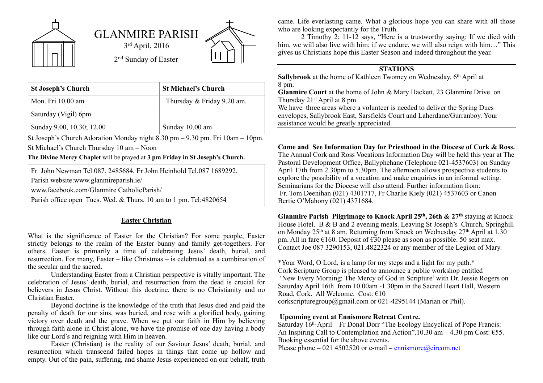

| <b>St Joseph's Church</b> | <b>St Michael's Church</b> |
|---------------------------|----------------------------|
| Mon. Fri 10.00 am         | Thursday & Friday 9.20 am. |
| Saturday (Vigil) 6pm      |                            |
| Sunday 9.00, 10.30; 12.00 | Sunday 10.00 am            |

St Joseph's Church Adoration Monday night 8.30 pm – 9.30 pm. Fri 10am – 10pm. St Michael's Church Thursday 10 am – Noon

**The Divine Mercy Chaplet** will be prayed at **3 pm Friday in St Joseph's Church.**

Fr John Newman Tel.087. 2485684, Fr John Heinhold Tel.087 1689292.

Parish website:www.glanmireparish.ie/

www.facebook.com/Glanmire CatholicParish/

Parish office open Tues. Wed. & Thurs. 10 am to 1 pm. Tel:4820654

## **Easter Christian**

What is the significance of Easter for the Christian? For some people, Easter strictly belongs to the realm of the Easter bunny and family get-togethers. For others, Easter is primarily a time of celebrating Jesus' death, burial, and resurrection. For many, Easter – like Christmas – is celebrated as a combination of the secular and the sacred.

Understanding Easter from a Christian perspective is vitally important. The celebration of Jesus' death, burial, and resurrection from the dead is crucial for believers in Jesus Christ. Without this doctrine, there is no Christianity and no Christian Easter.

Beyond doctrine is the knowledge of the truth that Jesus died and paid the penalty of death for our sins, was buried, and rose with a glorified body, gaining victory over death and the grave. When we put our faith in Him by believing through faith alone in Christ alone, we have the promise of one day having a body like our Lord's and reigning with Him in heaven.

Easter (Christian) is the reality of our Saviour Jesus' death, burial, and resurrection which transcend failed hopes in things that come up hollow and empty. Out of the pain, suffering, and shame Jesus experienced on our behalf, truth came. Life everlasting came. What a glorious hope you can share with all those who are looking expectantly for the Truth.

2 Timothy 2: 11-12 says, "Here is a trustworthy saying: If we died with him, we will also live with him; if we endure, we will also reign with him…" This gives us Christians hope this Easter Season and indeed throughout the year.

## **STATIONS**

**Sallybrook** at the home of Kathleen Twomey on Wednesday, 6<sup>th</sup> April at  $8 \,\mathrm{pm}$ .

**Glanmire Court** at the home of John & Mary Hackett, 23 Glanmire Drive on Thursday 21st April at 8 pm.

We have three areas where a volunteer is needed to deliver the Spring Dues envelopes, Sallybrook East, Sarsfields Court and Laherdane/Gurranboy. Your assistance would be greatly appreciated.

## **Come and See Information Day for Priesthood in the Diocese of Cork & Ross.**

The Annual Cork and Ross Vocations Information Day will be held this year at The Pastoral Development Office, Ballyphehane (Telephone 021-4537603) on Sunday April 17th from 2.30pm to 5.30pm. The afternoon allows prospective students to explore the possibility of a vocation and make enquiries in an informal setting. Seminarians for the Diocese will also attend. Further information from: Fr. Tom Deenihan (021) 4301717, Fr Charlie Kiely (021) 4537603 or Canon Bertie O'Mahony (021) 4371684.

**Glanmire Parish Pilgrimage to Knock April 25th, 26th & 27th** staying at Knock House Hotel. B & B and 2 evening meals. Leaving St Joseph's Church, Springhill on Monday 25<sup>th</sup> at 8 am. Returning from Knock on Wednesday 27<sup>th</sup> April at 1.30 pm. All in fare  $\epsilon$ 160. Deposit of  $\epsilon$ 30 please as soon as possible. 50 seat max. Contact Joe 087 3290153, 021.4822324 or any member of the Legion of Mary.

\*Your Word, O Lord, is a lamp for my steps and a light for my path.\* Cork Scripture Group is pleased to announce a public workshop entitled 'New Every Morning: The Mercy of God in Scripture' with Dr. Jessie Rogers on Saturday April 16th from 10.00am -1.30pm in the Sacred Heart Hall, Western Road, Cork. All Welcome. Cost: €10 corkscripturegroup@gmail.com or 021-4295144 (Marian or Phil).

## **Upcoming event at Ennismore Retreat Centre.**

Saturday 16th April – Fr Donal Dorr "The Ecology Encyclical of Pope Francis: An Inspiring Call to Contemplation and Action".10.30 am – 4.30 pm Cost:  $\epsilon$ 55. Booking essential for the above events.

Please phone – 021 4502520 or e-mail – [ennismore@eircom.net](mailto:ennismore@eircom.net)